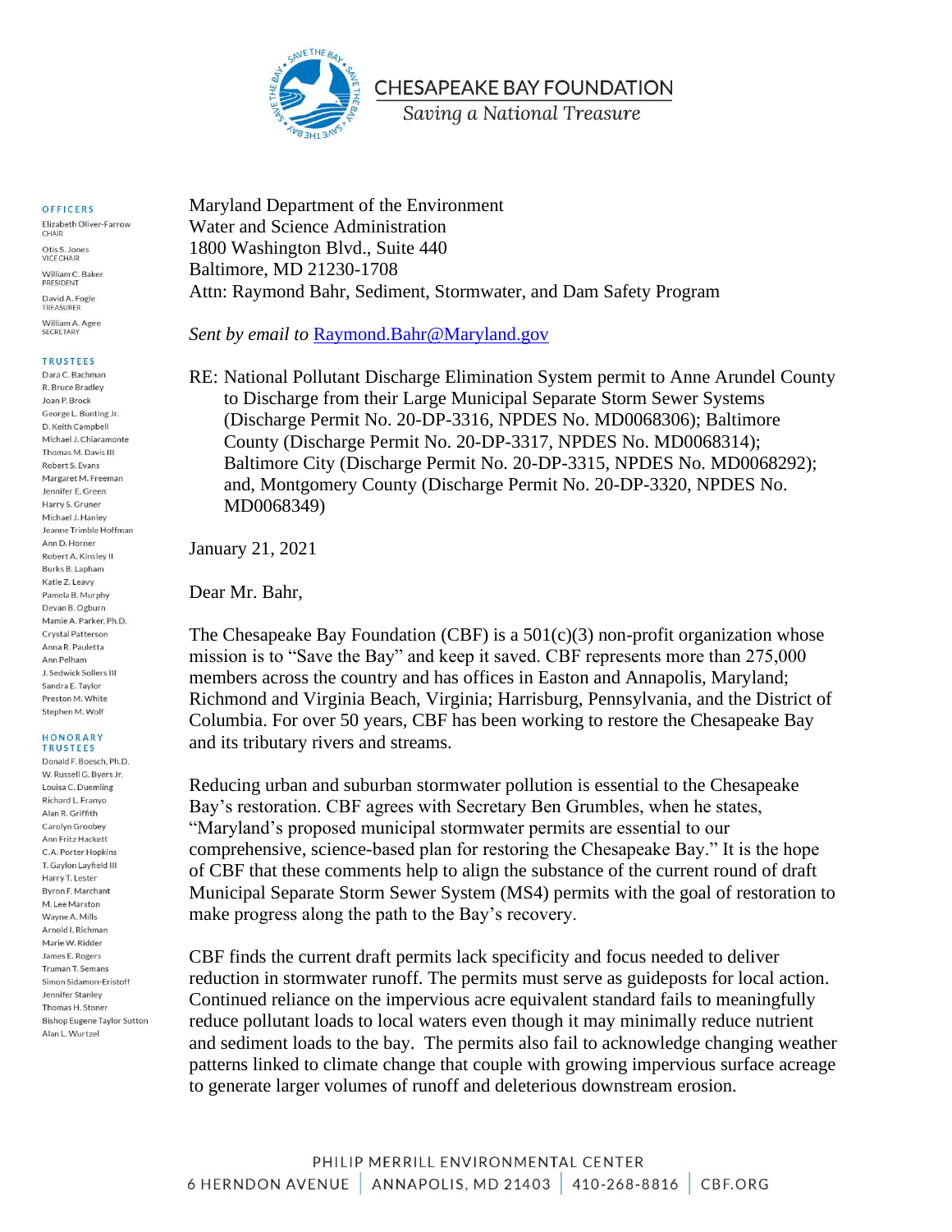

### OFFICERS

Elizabeth Oliver-Farrow CHAIR Otis S. Jones VICE CHAIR William C. Baker PRESIDENT David A Fogle TREASURER William A. Agee SECRETARY

### **TRUSTEES**

Dara C. Bachman R. Bruce Bradley Joan P. Brock George L. Bunting Jr. D. Keith Campbell Michael J. Chiaramonte Thomas M. Davis III Robert S. Evans Margaret M. Freeman Jennifer E. Green Harry S. Gruner Michael J. Hanley Jeanne Trimble Hoffman Ann D. Horner Robert A, Kinsley II Burks B. Lapham Katie 7 Leavy Pamela B. Murphy Devan B. Ogburn Mamie A. Parker, Ph.D. Crystal Patterson Anna R. Pauletta Ann Pelham J. Sedwick Sollers III Sandra E. Taylor Preston M. White Stephen M. Wolf

#### HONORARY **TRUSTEES**

Donald F. Boesch, Ph.D. W. Russell G. Byers Jr. Louisa C. Duemling Richard L. Franyo Alan R. Griffith Carolyn Groobey Ann Fritz Hackett C.A. Porter Hopkins T. Gavlon Lavfield III Harry T. Lester Byron F. Marchant M. Lee Marston Wayne A. Mills Arnold I. Richman Marie W. Ridder James E. Rogers Truman T. Semans Simon Sidamon-Eristoff Jennifer Stanley Thomas H. Stoner **Bishop Eugene Taylor Sutton** Alan L. Wurtzel

Maryland Department of the Environment Water and Science Administration 1800 Washington Blvd., Suite 440 Baltimore, MD 21230-1708 Attn: Raymond Bahr, Sediment, Stormwater, and Dam Safety Program

*Sent by email to* Raymond.Bahr@Maryland.gov

RE: National Pollutant Discharge Elimination System permit to Anne Arundel County to Discharge from their Large Municipal Separate Storm Sewer Systems (Discharge Permit No. 20-DP-3316, NPDES No. MD0068306); Baltimore County (Discharge Permit No. 20-DP-3317, NPDES No. MD0068314); Baltimore City (Discharge Permit No. 20-DP-3315, NPDES No. MD0068292); and, Montgomery County (Discharge Permit No. 20-DP-3320, NPDES No. MD0068349)

January 21, 2021

Dear Mr. Bahr,

The Chesapeake Bay Foundation (CBF) is a  $501(c)(3)$  non-profit organization whose mission is to "Save the Bay" and keep it saved. CBF represents more than 275,000 members across the country and has offices in Easton and Annapolis, Maryland; Richmond and Virginia Beach, Virginia; Harrisburg, Pennsylvania, and the District of Columbia. For over 50 years, CBF has been working to restore the Chesapeake Bay and its tributary rivers and streams.

Reducing urban and suburban stormwater pollution is essential to the Chesapeake Bay's restoration. CBF agrees with Secretary Ben Grumbles, when he states, "Maryland's proposed municipal stormwater permits are essential to our comprehensive, science-based plan for restoring the Chesapeake Bay." It is the hope of CBF that these comments help to align the substance of the current round of draft Municipal Separate Storm Sewer System (MS4) permits with the goal of restoration to make progress along the path to the Bay's recovery.

CBF finds the current draft permits lack specificity and focus needed to deliver reduction in stormwater runoff. The permits must serve as guideposts for local action. Continued reliance on the impervious acre equivalent standard fails to meaningfully reduce pollutant loads to local waters even though it may minimally reduce nutrient and sediment loads to the bay. The permits also fail to acknowledge changing weather patterns linked to climate change that couple with growing impervious surface acreage to generate larger volumes of runoff and deleterious downstream erosion.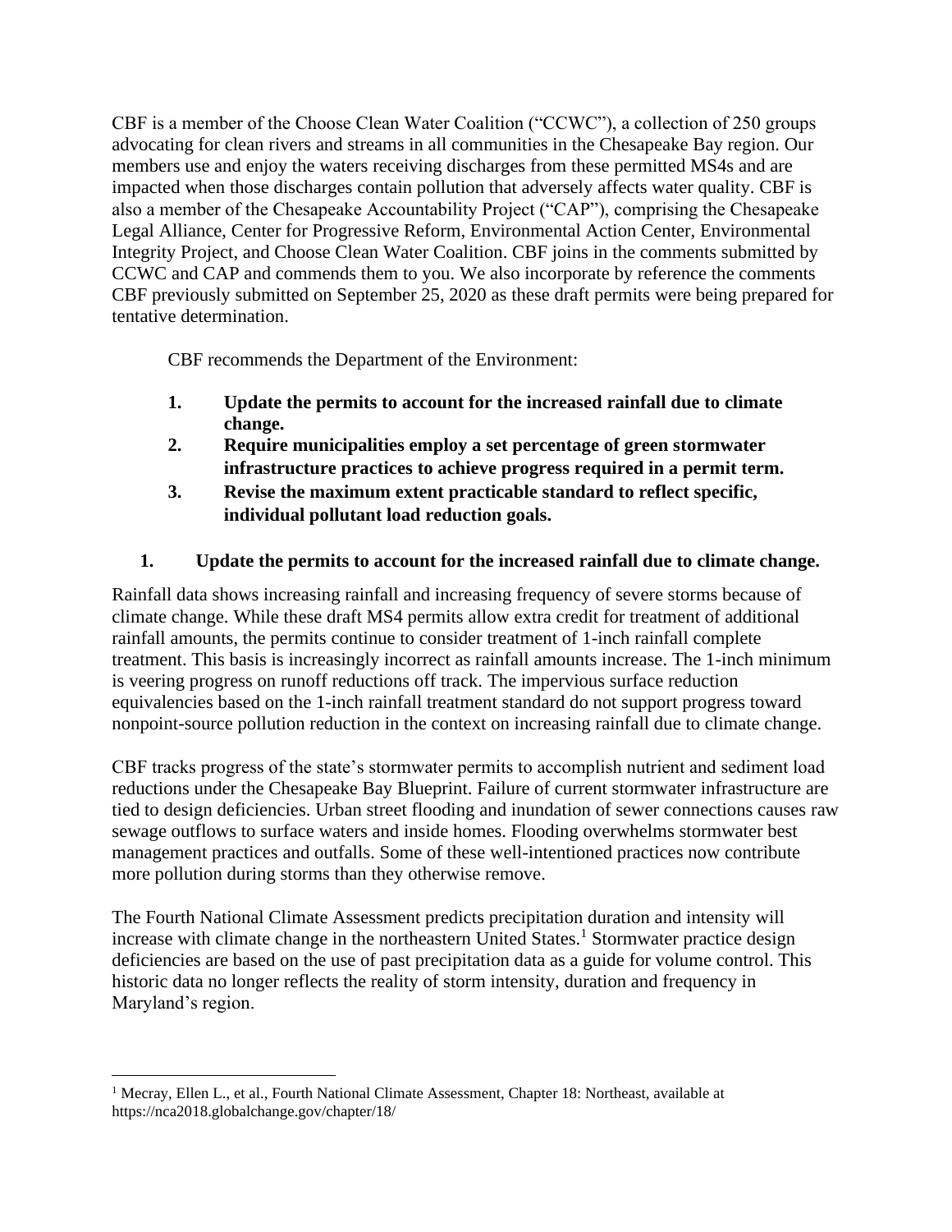CBF is a member of the Choose Clean Water Coalition ("CCWC"), a collection of 250 groups advocating for clean rivers and streams in all communities in the Chesapeake Bay region. Our members use and enjoy the waters receiving discharges from these permitted MS4s and are impacted when those discharges contain pollution that adversely affects water quality. CBF is also a member of the Chesapeake Accountability Project ("CAP"), comprising the Chesapeake Legal Alliance, Center for Progressive Reform, Environmental Action Center, Environmental Integrity Project, and Choose Clean Water Coalition. CBF joins in the comments submitted by CCWC and CAP and commends them to you. We also incorporate by reference the comments CBF previously submitted on September 25, 2020 as these draft permits were being prepared for tentative determination.

CBF recommends the Department of the Environment:

- **1. Update the permits to account for the increased rainfall due to climate change.**
- **2. Require municipalities employ a set percentage of green stormwater infrastructure practices to achieve progress required in a permit term.**
- **3. Revise the maximum extent practicable standard to reflect specific, individual pollutant load reduction goals.**

# **1. Update the permits to account for the increased rainfall due to climate change.**

Rainfall data shows increasing rainfall and increasing frequency of severe storms because of climate change. While these draft MS4 permits allow extra credit for treatment of additional rainfall amounts, the permits continue to consider treatment of 1-inch rainfall complete treatment. This basis is increasingly incorrect as rainfall amounts increase. The 1-inch minimum is veering progress on runoff reductions off track. The impervious surface reduction equivalencies based on the 1-inch rainfall treatment standard do not support progress toward nonpoint-source pollution reduction in the context on increasing rainfall due to climate change.

CBF tracks progress of the state's stormwater permits to accomplish nutrient and sediment load reductions under the Chesapeake Bay Blueprint. Failure of current stormwater infrastructure are tied to design deficiencies. Urban street flooding and inundation of sewer connections causes raw sewage outflows to surface waters and inside homes. Flooding overwhelms stormwater best management practices and outfalls. Some of these well-intentioned practices now contribute more pollution during storms than they otherwise remove.

The Fourth National Climate Assessment predicts precipitation duration and intensity will increase with climate change in the northeastern United States.<sup>1</sup> Stormwater practice design deficiencies are based on the use of past precipitation data as a guide for volume control. This historic data no longer reflects the reality of storm intensity, duration and frequency in Maryland's region.

<sup>&</sup>lt;sup>1</sup> Mecray, Ellen L., et al., Fourth National Climate Assessment, Chapter 18: Northeast, available at https://nca2018.globalchange.gov/chapter/18/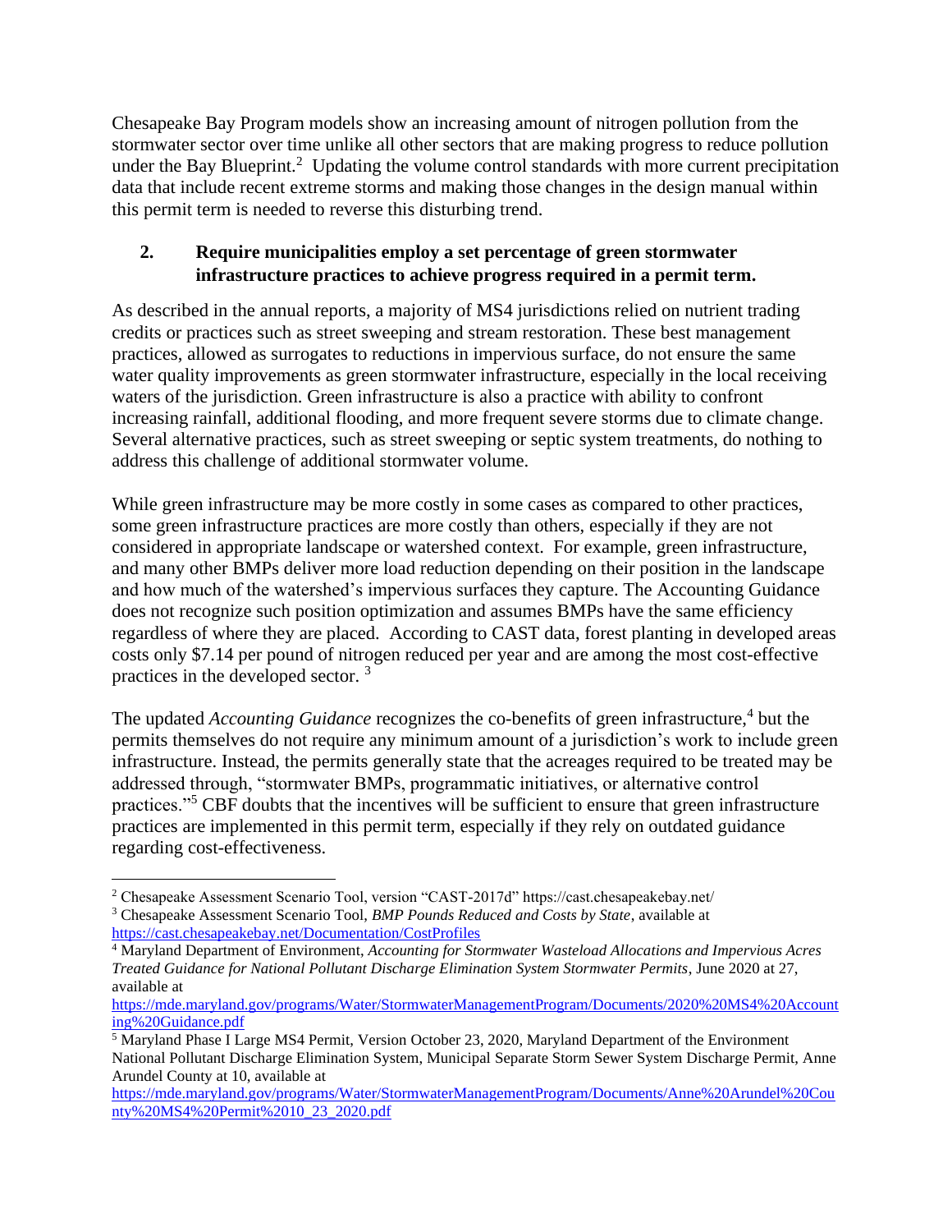Chesapeake Bay Program models show an increasing amount of nitrogen pollution from the stormwater sector over time unlike all other sectors that are making progress to reduce pollution under the Bay Blueprint.<sup>2</sup> Updating the volume control standards with more current precipitation data that include recent extreme storms and making those changes in the design manual within this permit term is needed to reverse this disturbing trend.

## **2. Require municipalities employ a set percentage of green stormwater infrastructure practices to achieve progress required in a permit term.**

As described in the annual reports, a majority of MS4 jurisdictions relied on nutrient trading credits or practices such as street sweeping and stream restoration. These best management practices, allowed as surrogates to reductions in impervious surface, do not ensure the same water quality improvements as green stormwater infrastructure, especially in the local receiving waters of the jurisdiction. Green infrastructure is also a practice with ability to confront increasing rainfall, additional flooding, and more frequent severe storms due to climate change. Several alternative practices, such as street sweeping or septic system treatments, do nothing to address this challenge of additional stormwater volume.

While green infrastructure may be more costly in some cases as compared to other practices, some green infrastructure practices are more costly than others, especially if they are not considered in appropriate landscape or watershed context. For example, green infrastructure, and many other BMPs deliver more load reduction depending on their position in the landscape and how much of the watershed's impervious surfaces they capture. The Accounting Guidance does not recognize such position optimization and assumes BMPs have the same efficiency regardless of where they are placed. According to CAST data, forest planting in developed areas costs only \$7.14 per pound of nitrogen reduced per year and are among the most cost-effective practices in the developed sector. <sup>3</sup>

The updated *Accounting Guidance* recognizes the co-benefits of green infrastructure,<sup>4</sup> but the permits themselves do not require any minimum amount of a jurisdiction's work to include green infrastructure. Instead, the permits generally state that the acreages required to be treated may be addressed through, "stormwater BMPs, programmatic initiatives, or alternative control practices."<sup>5</sup> CBF doubts that the incentives will be sufficient to ensure that green infrastructure practices are implemented in this permit term, especially if they rely on outdated guidance regarding cost-effectiveness.

<sup>2</sup> Chesapeake Assessment Scenario Tool, version "CAST-2017d" https://cast.chesapeakebay.net/

<sup>3</sup> Chesapeake Assessment Scenario Tool, *BMP Pounds Reduced and Costs by State*, available at https://cast.chesapeakebay.net/Documentation/CostProfiles

<sup>4</sup> Maryland Department of Environment, *Accounting for Stormwater Wasteload Allocations and Impervious Acres Treated Guidance for National Pollutant Discharge Elimination System Stormwater Permits*, June 2020 at 27, available at

https://mde.maryland.gov/programs/Water/StormwaterManagementProgram/Documents/2020%20MS4%20Account ing%20Guidance.pdf

<sup>5</sup> Maryland Phase I Large MS4 Permit, Version October 23, 2020, Maryland Department of the Environment National Pollutant Discharge Elimination System, Municipal Separate Storm Sewer System Discharge Permit, Anne Arundel County at 10, available at

https://mde.maryland.gov/programs/Water/StormwaterManagementProgram/Documents/Anne%20Arundel%20Cou nty%20MS4%20Permit%2010\_23\_2020.pdf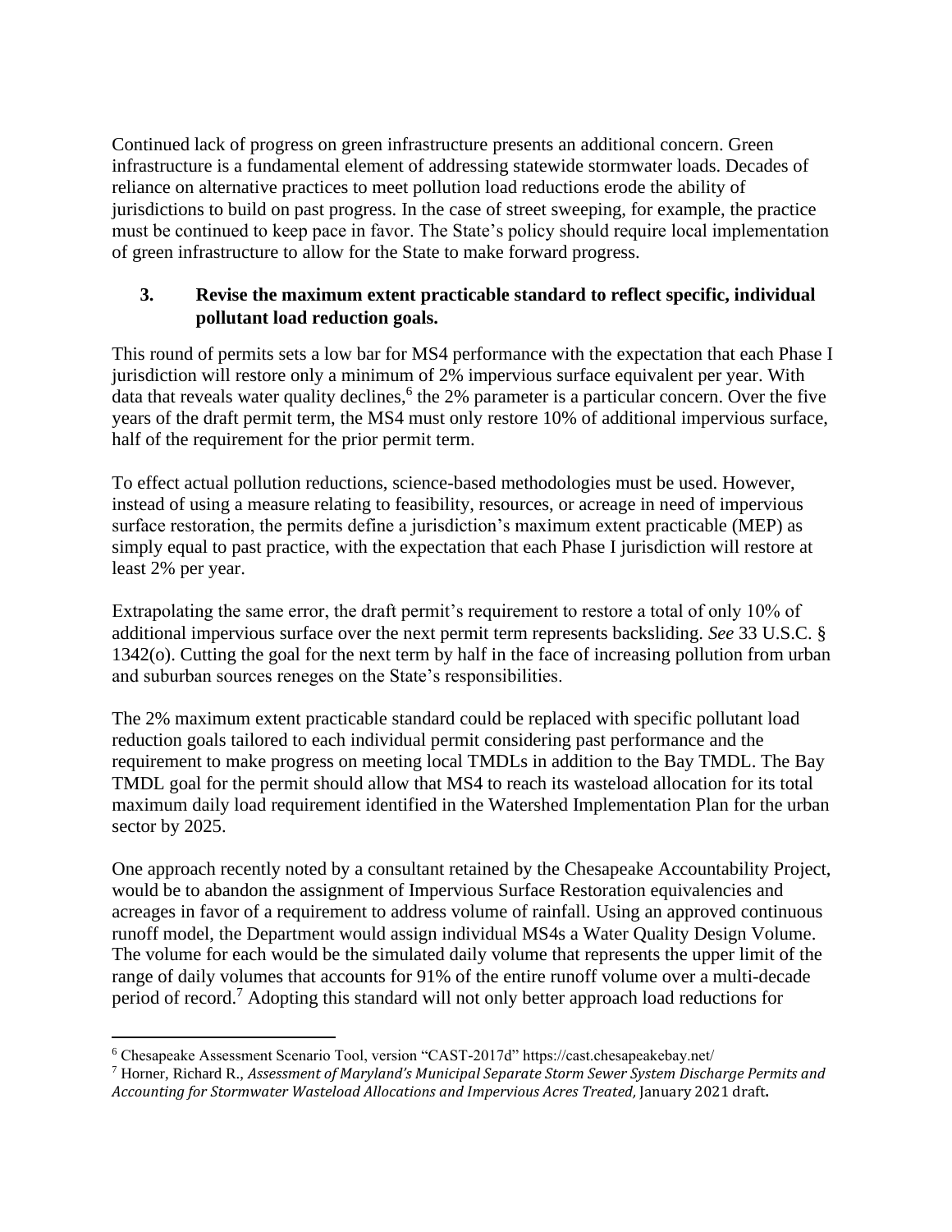Continued lack of progress on green infrastructure presents an additional concern. Green infrastructure is a fundamental element of addressing statewide stormwater loads. Decades of reliance on alternative practices to meet pollution load reductions erode the ability of jurisdictions to build on past progress. In the case of street sweeping, for example, the practice must be continued to keep pace in favor. The State's policy should require local implementation of green infrastructure to allow for the State to make forward progress.

## **3. Revise the maximum extent practicable standard to reflect specific, individual pollutant load reduction goals.**

This round of permits sets a low bar for MS4 performance with the expectation that each Phase I jurisdiction will restore only a minimum of 2% impervious surface equivalent per year. With data that reveals water quality declines,<sup>6</sup> the 2% parameter is a particular concern. Over the five years of the draft permit term, the MS4 must only restore 10% of additional impervious surface, half of the requirement for the prior permit term.

To effect actual pollution reductions, science-based methodologies must be used. However, instead of using a measure relating to feasibility, resources, or acreage in need of impervious surface restoration, the permits define a jurisdiction's maximum extent practicable (MEP) as simply equal to past practice, with the expectation that each Phase I jurisdiction will restore at least 2% per year.

Extrapolating the same error, the draft permit's requirement to restore a total of only 10% of additional impervious surface over the next permit term represents backsliding. *See* 33 U.S.C. § 1342(o). Cutting the goal for the next term by half in the face of increasing pollution from urban and suburban sources reneges on the State's responsibilities.

The 2% maximum extent practicable standard could be replaced with specific pollutant load reduction goals tailored to each individual permit considering past performance and the requirement to make progress on meeting local TMDLs in addition to the Bay TMDL. The Bay TMDL goal for the permit should allow that MS4 to reach its wasteload allocation for its total maximum daily load requirement identified in the Watershed Implementation Plan for the urban sector by 2025.

One approach recently noted by a consultant retained by the Chesapeake Accountability Project, would be to abandon the assignment of Impervious Surface Restoration equivalencies and acreages in favor of a requirement to address volume of rainfall. Using an approved continuous runoff model, the Department would assign individual MS4s a Water Quality Design Volume. The volume for each would be the simulated daily volume that represents the upper limit of the range of daily volumes that accounts for 91% of the entire runoff volume over a multi-decade period of record.<sup>7</sup> Adopting this standard will not only better approach load reductions for

<sup>6</sup> Chesapeake Assessment Scenario Tool, version "CAST-2017d" https://cast.chesapeakebay.net/

<sup>7</sup> Horner, Richard R., *Assessment of Maryland's Municipal Separate Storm Sewer System Discharge Permits and Accounting for Stormwater Wasteload Allocations and Impervious Acres Treated,* January 2021 draft**.**